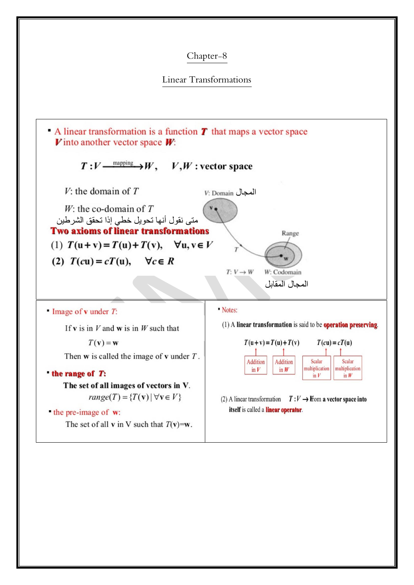## Chapter-8

## Linear Transformations

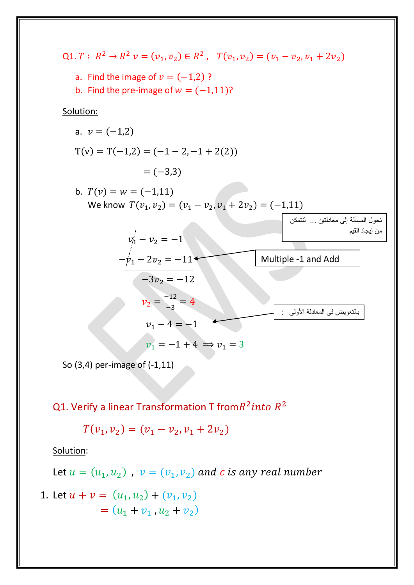Q1.  $T: R^2 \to R^2$   $v = (v_1, v_2) \in R^2$ ,  $T(v_1, v_2) = (v_1 - v_2, v_1 + 2v_2)$ 

- a. Find the image of  $v = (-1,2)$ ?
- b. Find the pre-image of  $w = (-1,11)$ ?

Solution:

a. 
$$
v = (-1,2)
$$
  
\n
$$
T(v) = T(-1,2) = (-1 - 2, -1 + 2(2))
$$
\n
$$
= (-3,3)
$$

b. 
$$
T(v) = w = (-1,11)
$$
  
We know  $T(v_1, v_2) = (v_1 - v_2, v_1 + 2v_2) = (-1,11)$ 



So (3,4) per-image of (-1,11)

Q1. Verify a linear Transformation T from $R^2$ *into*  $R^2$ 

$$
T(v_1, v_2) = (v_1 - v_2, v_1 + 2v_2)
$$

Solution:

Let  $u = (u_1, u_2)$ ,  $v = (v_1, v_2)$  a

1. Let 
$$
u + v = (u_1, u_2) + (v_1, v_2)
$$
  
=  $(u_1 + v_1, u_2 + v_2)$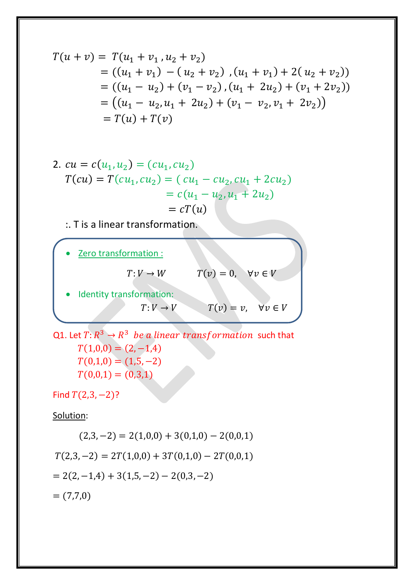$$
T(u + v) = T(u_1 + v_1, u_2 + v_2)
$$
  
= ((u<sub>1</sub> + v<sub>1</sub>) - (u<sub>2</sub> + v<sub>2</sub>) , (u<sub>1</sub> + v<sub>1</sub>) + 2(u<sub>2</sub> + v<sub>2</sub>))  
= ((u<sub>1</sub> - u<sub>2</sub>) + (v<sub>1</sub> - v<sub>2</sub>), (u<sub>1</sub> + 2u<sub>2</sub>) + (v<sub>1</sub> + 2v<sub>2</sub>))  
= ((u<sub>1</sub> - u<sub>2</sub>, u<sub>1</sub> + 2u<sub>2</sub>) + (v<sub>1</sub> - v<sub>2</sub>, v<sub>1</sub> + 2v<sub>2</sub>))  
= T(u) + T(v)

2. 
$$
cu = c(u_1, u_2) = (cu_1, cu_2)
$$
  
\n
$$
T(cu) = T(cu_1, cu_2) = (cu_1 - cu_2, cu_1 + 2cu_2)
$$
\n
$$
= c(u_1 - u_2, u_1 + 2u_2)
$$
\n
$$
= cT(u)
$$

:. T is a linear transformation.



Q1. Let  $T$ :  $R^3\rightarrow R^3$  *be a linear transformation*  such that  $T(1,0,0) = (2,-1,4)$  $T(0,1,0) = (1,5,-2)$  $T(0,0,1) = (0,3,1)$ 

Find  $T(2,3,-2)$ ?

Solution:

$$
(2,3,-2) = 2(1,0,0) + 3(0,1,0) - 2(0,0,1)
$$
  
\n
$$
T(2,3,-2) = 2T(1,0,0) + 3T(0,1,0) - 2T(0,0,1)
$$
  
\n
$$
= 2(2,-1,4) + 3(1,5,-2) - 2(0,3,-2)
$$
  
\n
$$
= (7,7,0)
$$